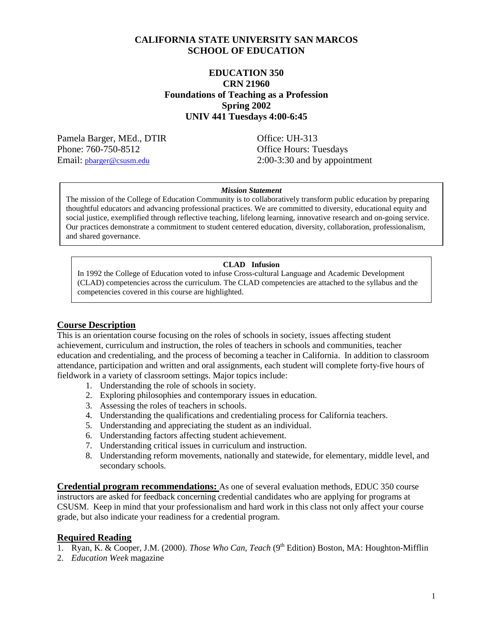## **CALIFORNIA STATE UNIVERSITY SAN MARCOS SCHOOL OF EDUCATION**

## **EDUCATION 350 CRN 21960 Foundations of Teaching as a Profession Spring 2002 UNIV 441 Tuesdays 4:00-6:45**

Pamela Barger, MEd., DTIR Office: UH-313 Phone: 760-750-8512 Office Hours: Tuesdays

Email: <u>pbarger@csusm.edu</u> 2:00-3:30 and by appointment

#### *Mission Statement*

The mission of the College of Education Community is to collaboratively transform public education by preparing thoughtful educators and advancing professional practices. We are committed to diversity, educational equity and social justice, exemplified through reflective teaching, lifelong learning, innovative research and on-going service. Our practices demonstrate a commitment to student centered education, diversity, collaboration, professionalism, and shared governance.

#### **CLAD Infusion**

In 1992 the College of Education voted to infuse Cross-cultural Language and Academic Development (CLAD) competencies across the curriculum. The CLAD competencies are attached to the syllabus and the competencies covered in this course are highlighted.

## **Course Description**

This is an orientation course focusing on the roles of schools in society, issues affecting student achievement, curriculum and instruction, the roles of teachers in schools and communities, teacher education and credentialing, and the process of becoming a teacher in California. In addition to classroom attendance, participation and written and oral assignments, each student will complete forty-five hours of fieldwork in a variety of classroom settings. Major topics include:

- 1. Understanding the role of schools in society.
- 2. Exploring philosophies and contemporary issues in education.
- 3. Assessing the roles of teachers in schools.
- 4. Understanding the qualifications and credentialing process for California teachers.
- 5. Understanding and appreciating the student as an individual.
- 6. Understanding factors affecting student achievement.
- 7. Understanding critical issues in curriculum and instruction.
- 8. Understanding reform movements, nationally and statewide, for elementary, middle level, and secondary schools.

**Credential program recommendations:** As one of several evaluation methods, EDUC 350 course instructors are asked for feedback concerning credential candidates who are applying for programs at CSUSM. Keep in mind that your professionalism and hard work in this class not only affect your course grade, but also indicate your readiness for a credential program.

#### **Required Reading**

- 1. Ryan, K. & Cooper, J.M. (2000). *Those Who Can, Teach* (9<sup>th</sup> Edition) Boston, MA: Houghton-Mifflin
- 2. *Education Week* magazine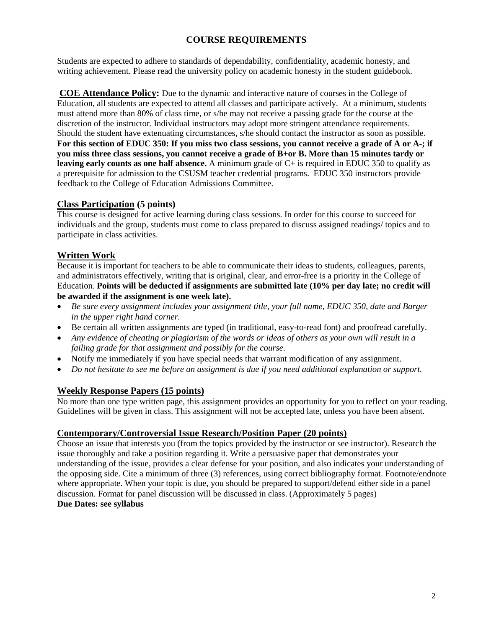# **COURSE REQUIREMENTS**

Students are expected to adhere to standards of dependability, confidentiality, academic honesty, and writing achievement. Please read the university policy on academic honesty in the student guidebook.

**COE Attendance Policy:** Due to the dynamic and interactive nature of courses in the College of Education, all students are expected to attend all classes and participate actively. At a minimum, students must attend more than 80% of class time, or s/he may not receive a passing grade for the course at the discretion of the instructor. Individual instructors may adopt more stringent attendance requirements. Should the student have extenuating circumstances, s/he should contact the instructor as soon as possible. **For this section of EDUC 350: If you miss two class sessions, you cannot receive a grade of A or A-; if you miss three class sessions, you cannot receive a grade of B+or B. More than 15 minutes tardy or leaving early counts as one half absence.** A minimum grade of C+ is required in EDUC 350 to qualify as a prerequisite for admission to the CSUSM teacher credential programs. EDUC 350 instructors provide feedback to the College of Education Admissions Committee.

## **Class Participation (5 points)**

This course is designed for active learning during class sessions. In order for this course to succeed for individuals and the group, students must come to class prepared to discuss assigned readings/ topics and to participate in class activities.

## **Written Work**

Because it is important for teachers to be able to communicate their ideas to students, colleagues, parents, and administrators effectively, writing that is original, clear, and error-free is a priority in the College of Education. **Points will be deducted if assignments are submitted late (10% per day late; no credit will be awarded if the assignment is one week late).**

- *Be sure every assignment includes your assignment title, your full name, EDUC 350, date and Barger in the upper right hand corner.*
- Be certain all written assignments are typed (in traditional, easy-to-read font) and proofread carefully.
- *Any evidence of cheating or plagiarism of the words or ideas of others as your own will result in a failing grade for that assignment and possibly for the course*.
- Notify me immediately if you have special needs that warrant modification of any assignment.
- *Do not hesitate to see me before an assignment is due if you need additional explanation or support.*

## **Weekly Response Papers (15 points)**

No more than one type written page, this assignment provides an opportunity for you to reflect on your reading. Guidelines will be given in class. This assignment will not be accepted late, unless you have been absent.

## **Contemporary/Controversial Issue Research/Position Paper (20 points)**

Choose an issue that interests you (from the topics provided by the instructor or see instructor). Research the issue thoroughly and take a position regarding it. Write a persuasive paper that demonstrates your understanding of the issue, provides a clear defense for your position, and also indicates your understanding of the opposing side. Cite a minimum of three (3) references, using correct bibliography format. Footnote/endnote where appropriate. When your topic is due, you should be prepared to support/defend either side in a panel discussion. Format for panel discussion will be discussed in class. (Approximately 5 pages) **Due Dates: see syllabus**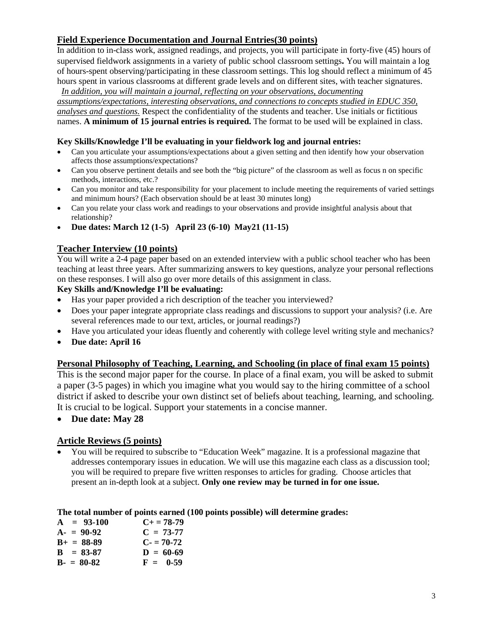# **Field Experience Documentation and Journal Entries(30 points)**

In addition to in-class work, assigned readings, and projects, you will participate in forty-five (45) hours of supervised fieldwork assignments in a variety of public school classroom settings**.** You will maintain a log of hours-spent observing/participating in these classroom settings. This log should reflect a minimum of 45 hours spent in various classrooms at different grade levels and on different sites, with teacher signatures. *In addition, you will maintain a journal, reflecting on your observations, documenting* 

*assumptions/expectations, interesting observations, and connections to concepts studied in EDUC 350, analyses and questions.* Respect the confidentiality of the students and teacher. Use initials or fictitious names. **A minimum of 15 journal entries is required.** The format to be used will be explained in class.

#### **Key Skills/Knowledge I'll be evaluating in your fieldwork log and journal entries:**

- Can you articulate your assumptions/expectations about a given setting and then identify how your observation affects those assumptions/expectations?
- Can you observe pertinent details and see both the "big picture" of the classroom as well as focus n on specific methods, interactions, etc.?
- Can you monitor and take responsibility for your placement to include meeting the requirements of varied settings and minimum hours? (Each observation should be at least 30 minutes long)
- Can you relate your class work and readings to your observations and provide insightful analysis about that relationship?
- **Due dates: March 12 (1-5) April 23 (6-10) May21 (11-15)**

## **Teacher Interview (10 points)**

You will write a 2-4 page paper based on an extended interview with a public school teacher who has been teaching at least three years. After summarizing answers to key questions, analyze your personal reflections on these responses. I will also go over more details of this assignment in class.

### **Key Skills and/Knowledge I'll be evaluating:**

- Has your paper provided a rich description of the teacher you interviewed?
- Does your paper integrate appropriate class readings and discussions to support your analysis? (i.e. Are several references made to our text, articles, or journal readings?)
- Have you articulated your ideas fluently and coherently with college level writing style and mechanics?
- **Due date: April 16**

## **Personal Philosophy of Teaching, Learning, and Schooling (in place of final exam 15 points)**

This is the second major paper for the course. In place of a final exam, you will be asked to submit a paper (3-5 pages) in which you imagine what you would say to the hiring committee of a school district if asked to describe your own distinct set of beliefs about teaching, learning, and schooling. It is crucial to be logical. Support your statements in a concise manner.

• **Due date: May 28**

## **Article Reviews (5 points)**

• You will be required to subscribe to "Education Week" magazine. It is a professional magazine that addresses contemporary issues in education. We will use this magazine each class as a discussion tool; you will be required to prepare five written responses to articles for grading. Choose articles that present an in-depth look at a subject. **Only one review may be turned in for one issue.**

#### **The total number of points earned (100 points possible) will determine grades:**

| $A = 93-100$    | $C_{\pm} = 78 - 79$ |
|-----------------|---------------------|
| $A - 90-92$     | $C = 73-77$         |
| $B_+ = 88-89$   | $C = 70-72$         |
| $B = 83-87$     | $D = 60-69$         |
| $B - = 80 - 82$ | $F = 0.59$          |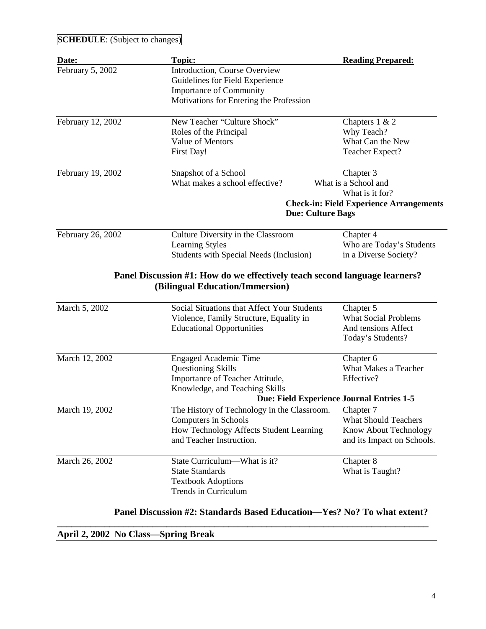| <b>SCHEDULE:</b> (Subject to changes) |                                                |                                                |  |
|---------------------------------------|------------------------------------------------|------------------------------------------------|--|
| Date:                                 | <b>Topic:</b>                                  | <b>Reading Prepared:</b>                       |  |
| February 5, 2002                      | Introduction, Course Overview                  |                                                |  |
|                                       | Guidelines for Field Experience                |                                                |  |
|                                       | <b>Importance of Community</b>                 |                                                |  |
|                                       | Motivations for Entering the Profession        |                                                |  |
| February 12, 2002                     | New Teacher "Culture Shock"                    | Chapters $1 & 2$                               |  |
|                                       | Roles of the Principal                         | Why Teach?                                     |  |
|                                       | Value of Mentors                               | What Can the New                               |  |
|                                       | First Day!                                     | Teacher Expect?                                |  |
| February 19, 2002                     | Snapshot of a School                           | Chapter 3                                      |  |
|                                       | What makes a school effective?                 | What is a School and                           |  |
|                                       |                                                | What is it for?                                |  |
|                                       |                                                | <b>Check-in: Field Experience Arrangements</b> |  |
|                                       | <b>Due: Culture Bags</b>                       |                                                |  |
| February 26, 2002                     | Culture Diversity in the Classroom             | Chapter 4                                      |  |
|                                       | <b>Learning Styles</b>                         | Who are Today's Students                       |  |
|                                       | <b>Students with Special Needs (Inclusion)</b> | in a Diverse Society?                          |  |
|                                       | (Bilingual Education/Immersion)                |                                                |  |
| March 5, 2002                         | Social Situations that Affect Your Students    | Chapter 5                                      |  |
|                                       | Violence, Family Structure, Equality in        | <b>What Social Problems</b>                    |  |
|                                       | <b>Educational Opportunities</b>               | And tensions Affect                            |  |
|                                       |                                                | Today's Students?                              |  |
| March 12, 2002                        | <b>Engaged Academic Time</b>                   | Chapter 6                                      |  |
|                                       | <b>Questioning Skills</b>                      | What Makes a Teacher                           |  |
|                                       | Importance of Teacher Attitude,                | Effective?                                     |  |
|                                       | Knowledge, and Teaching Skills                 |                                                |  |
|                                       | Due: Field Experience Journal Entries 1-5      |                                                |  |
| March 19, 2002                        | The History of Technology in the Classroom.    | Chapter 7                                      |  |
|                                       | Computers in Schools                           | <b>What Should Teachers</b>                    |  |
|                                       | How Technology Affects Student Learning        | Know About Technology                          |  |
|                                       | and Teacher Instruction.                       | and its Impact on Schools.                     |  |
| March 26, 2002                        | State Curriculum—What is it?                   | Chapter 8                                      |  |
|                                       | <b>State Standards</b>                         | What is Taught?                                |  |
|                                       | <b>Textbook Adoptions</b>                      |                                                |  |
|                                       | Trends in Curriculum                           |                                                |  |
|                                       |                                                |                                                |  |

**Panel Discussion #2: Standards Based Education—Yes? No? To what extent?**

|  |  | April 2, 2002 No Class-Spring Break |  |
|--|--|-------------------------------------|--|
|--|--|-------------------------------------|--|

**\_\_\_\_\_\_\_\_\_\_\_\_\_\_\_\_\_\_\_\_\_\_\_\_\_\_\_\_\_\_\_\_\_\_\_\_\_\_\_\_\_\_\_\_\_\_\_\_\_\_\_\_\_\_\_\_\_\_\_\_\_\_\_\_\_\_\_\_\_\_\_\_\_\_\_\_\_\_**